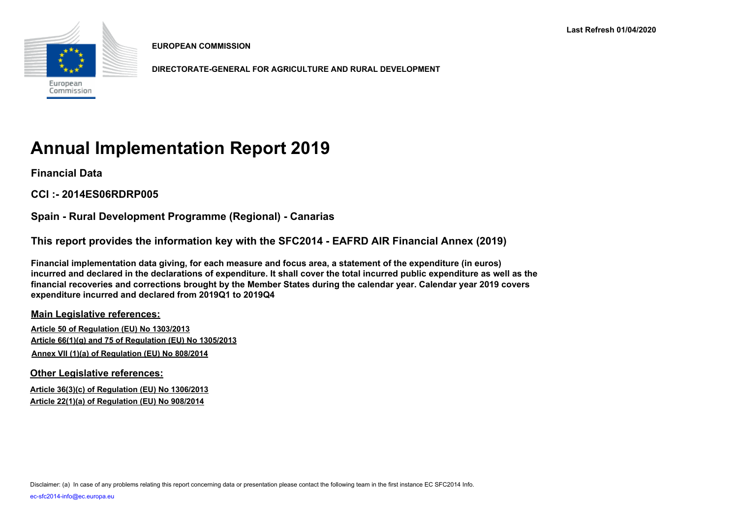

**EUROPEAN COMMISSION**

**DIRECTORATE-GENERAL FOR AGRICULTURE AND RURAL DEVELOPMENT**

# **Annual Implementation Report 2019**

**Financial Data**

**CCI :- 2014ES06RDRP005**

**Spain - Rural Development Programme (Regional) - Canarias**

**This report provides the information key with the SFC2014 - EAFRD AIR Financial Annex (2019)** 

**Financial implementation data giving, for each measure and focus area, a statement of the expenditure (in euros) incurred and declared in the declarations of expenditure. It shall cover the total incurred public expenditure as well as the financial recoveries and corrections brought by the Member States during the calendar year. Calendar year 2019 covers expenditure incurred and declared from 2019Q1 to 2019Q4**

**Main Legislative references:**

**Article 50 of Regulation (EU) No 1303/2013 Article 66(1)(g) and 75 of Regulation (EU) No 1305/2013 Annex VII (1)(a) of Regulation (EU) No 808/2014**

**Other Legislative references:**

**Article 36(3)(c) of Regulation (EU) No 1306/2013 Article 22(1)(a) of Regulation (EU) No 908/2014**

Disclaimer: (a) In case of any problems relating this report concerning data or presentation please contact the following team in the first instance EC SFC2014 Info.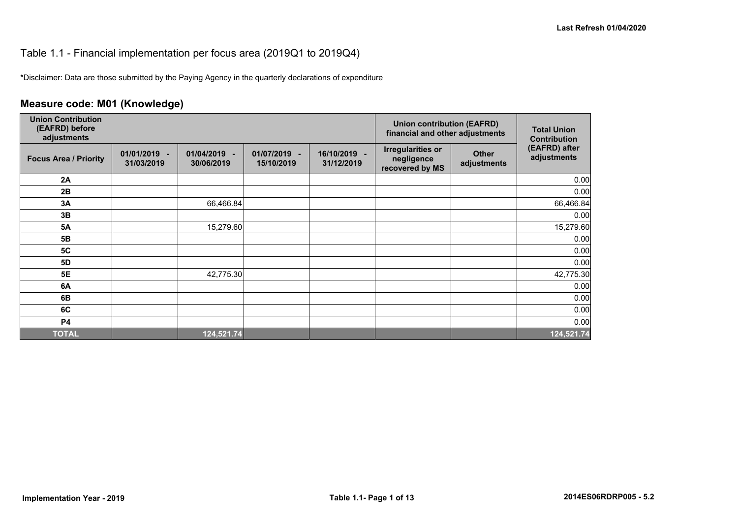### Table 1.1 - Financial implementation per focus area (2019Q1 to 2019Q4)

\*Disclaimer: Data are those submitted by the Paying Agency in the quarterly declarations of expenditure

# **Measure code: M01 (Knowledge)**

| <b>Union Contribution</b><br>(EAFRD) before<br>adjustments |                              |                               |                            |                            | <b>Union contribution (EAFRD)</b><br>financial and other adjustments |                             | <b>Total Union</b><br><b>Contribution</b> |
|------------------------------------------------------------|------------------------------|-------------------------------|----------------------------|----------------------------|----------------------------------------------------------------------|-----------------------------|-------------------------------------------|
| <b>Focus Area / Priority</b>                               | $01/01/2019 -$<br>31/03/2019 | 01/04/2019<br>٠<br>30/06/2019 | 01/07/2019 -<br>15/10/2019 | 16/10/2019 -<br>31/12/2019 | <b>Irregularities or</b><br>negligence<br>recovered by MS            | <b>Other</b><br>adjustments | (EAFRD) after<br>adjustments              |
| 2A                                                         |                              |                               |                            |                            |                                                                      |                             | 0.00                                      |
| 2B                                                         |                              |                               |                            |                            |                                                                      |                             | 0.00                                      |
| 3A                                                         |                              | 66,466.84                     |                            |                            |                                                                      |                             | 66,466.84                                 |
| 3B                                                         |                              |                               |                            |                            |                                                                      |                             | 0.00                                      |
| <b>5A</b>                                                  |                              | 15,279.60                     |                            |                            |                                                                      |                             | 15,279.60                                 |
| 5B                                                         |                              |                               |                            |                            |                                                                      |                             | 0.00                                      |
| <b>5C</b>                                                  |                              |                               |                            |                            |                                                                      |                             | 0.00                                      |
| 5D                                                         |                              |                               |                            |                            |                                                                      |                             | 0.00                                      |
| 5E                                                         |                              | 42,775.30                     |                            |                            |                                                                      |                             | 42,775.30                                 |
| 6A                                                         |                              |                               |                            |                            |                                                                      |                             | 0.00                                      |
| 6B                                                         |                              |                               |                            |                            |                                                                      |                             | 0.00                                      |
| 6C                                                         |                              |                               |                            |                            |                                                                      |                             | 0.00                                      |
| <b>P4</b>                                                  |                              |                               |                            |                            |                                                                      |                             | 0.00                                      |
| <b>TOTAL</b>                                               |                              | 124,521.74                    |                            |                            |                                                                      |                             | 124,521.74                                |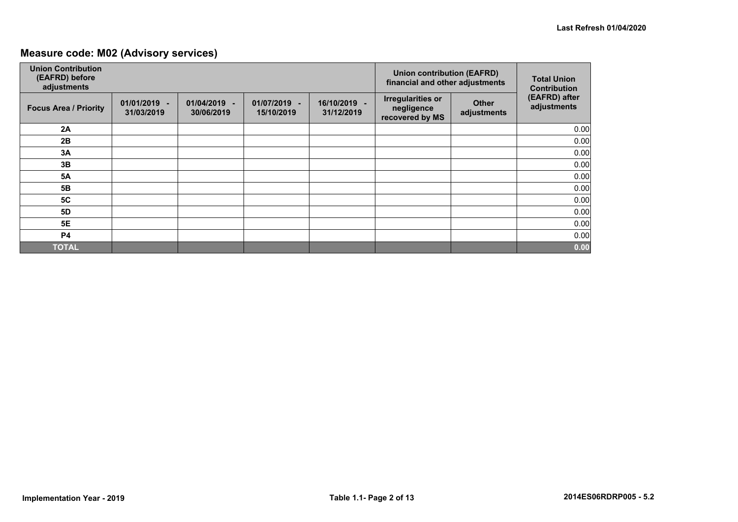# **Measure code: M02 (Advisory services)**

| <b>Union Contribution</b><br>(EAFRD) before<br>adjustments |                            |                                    |                            | <b>Union contribution (EAFRD)</b><br>financial and other adjustments | <b>Total Union</b><br><b>Contribution</b>                 |                             |                              |
|------------------------------------------------------------|----------------------------|------------------------------------|----------------------------|----------------------------------------------------------------------|-----------------------------------------------------------|-----------------------------|------------------------------|
| <b>Focus Area / Priority</b>                               | 01/01/2019 -<br>31/03/2019 | 01/04/2019<br>$\sim$<br>30/06/2019 | 01/07/2019 -<br>15/10/2019 | 16/10/2019 -<br>31/12/2019                                           | <b>Irregularities or</b><br>negligence<br>recovered by MS | <b>Other</b><br>adjustments | (EAFRD) after<br>adjustments |
| 2A                                                         |                            |                                    |                            |                                                                      |                                                           |                             | 0.00                         |
| 2B                                                         |                            |                                    |                            |                                                                      |                                                           |                             | 0.00                         |
| 3A                                                         |                            |                                    |                            |                                                                      |                                                           |                             | 0.00                         |
| 3B                                                         |                            |                                    |                            |                                                                      |                                                           |                             | 0.00                         |
| <b>5A</b>                                                  |                            |                                    |                            |                                                                      |                                                           |                             | 0.00                         |
| <b>5B</b>                                                  |                            |                                    |                            |                                                                      |                                                           |                             | 0.00                         |
| <b>5C</b>                                                  |                            |                                    |                            |                                                                      |                                                           |                             | 0.00                         |
| <b>5D</b>                                                  |                            |                                    |                            |                                                                      |                                                           |                             | 0.00                         |
| 5E                                                         |                            |                                    |                            |                                                                      |                                                           |                             | 0.00                         |
| <b>P4</b>                                                  |                            |                                    |                            |                                                                      |                                                           |                             | 0.00                         |
| <b>TOTAL</b>                                               |                            |                                    |                            |                                                                      |                                                           |                             | 0.00                         |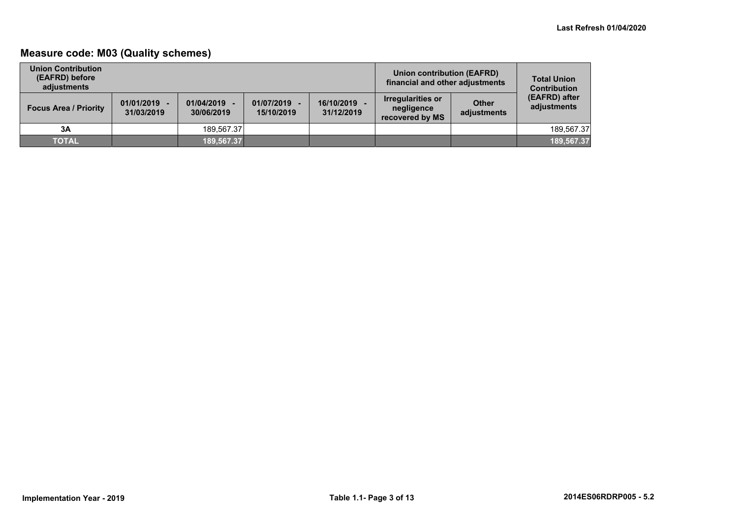# **Measure code: M03 (Quality schemes)**

| <b>Union Contribution</b><br>(EAFRD) before<br>adiustments |                              |                          |                            |                          | Union contribution (EAFRD)<br>financial and other adjustments |                             | <b>Total Union</b><br><b>Contribution</b> |
|------------------------------------------------------------|------------------------------|--------------------------|----------------------------|--------------------------|---------------------------------------------------------------|-----------------------------|-------------------------------------------|
| <b>Focus Area / Priority</b>                               | $01/01/2019 -$<br>31/03/2019 | 01/04/2019<br>30/06/2019 | 01/07/2019 -<br>15/10/2019 | 16/10/2019<br>31/12/2019 | <b>Irregularities or</b><br>negligence<br>recovered by MS     | <b>Other</b><br>adjustments | (EAFRD) after<br>adjustments              |
| 3A                                                         |                              | 189.567.37               |                            |                          |                                                               |                             | 189.567.37                                |
| <b>TOTAL</b>                                               |                              | 189.567.37               |                            |                          |                                                               |                             | 189,567.37                                |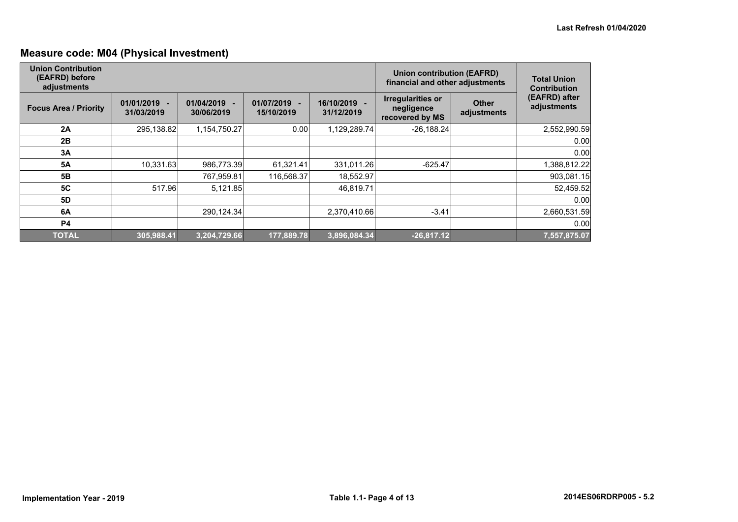# **Measure code: M04 (Physical Investment)**

| <b>Union Contribution</b><br>(EAFRD) before<br>adjustments |                            |                                                      |                          | <b>Union contribution (EAFRD)</b><br>financial and other adjustments | <b>Total Union</b><br><b>Contribution</b>                 |                             |                              |
|------------------------------------------------------------|----------------------------|------------------------------------------------------|--------------------------|----------------------------------------------------------------------|-----------------------------------------------------------|-----------------------------|------------------------------|
| <b>Focus Area / Priority</b>                               | 01/01/2019 -<br>31/03/2019 | 01/04/2019<br>$\overline{\phantom{a}}$<br>30/06/2019 | 01/07/2019<br>15/10/2019 | 16/10/2019 -<br>31/12/2019                                           | <b>Irregularities or</b><br>negligence<br>recovered by MS | <b>Other</b><br>adjustments | (EAFRD) after<br>adjustments |
| 2A                                                         | 295,138.82                 | 1,154,750.27                                         | 0.00                     | 1,129,289.74                                                         | $-26,188.24$                                              |                             | 2,552,990.59                 |
| 2B                                                         |                            |                                                      |                          |                                                                      |                                                           |                             | 0.00                         |
| 3A                                                         |                            |                                                      |                          |                                                                      |                                                           |                             | 0.00                         |
| <b>5A</b>                                                  | 10,331.63                  | 986,773.39                                           | 61,321.41                | 331,011.26                                                           | $-625.47$                                                 |                             | 1,388,812.22                 |
| 5 <b>B</b>                                                 |                            | 767,959.81                                           | 116,568.37               | 18,552.97                                                            |                                                           |                             | 903,081.15                   |
| <b>5C</b>                                                  | 517.96                     | 5,121.85                                             |                          | 46,819.71                                                            |                                                           |                             | 52,459.52                    |
| 5D                                                         |                            |                                                      |                          |                                                                      |                                                           |                             | 0.00                         |
| 6A                                                         |                            | 290,124.34                                           |                          | 2,370,410.66                                                         | $-3.41$                                                   |                             | 2,660,531.59                 |
| <b>P4</b>                                                  |                            |                                                      |                          |                                                                      |                                                           |                             | 0.00                         |
| <b>TOTAL</b>                                               | 305,988.41                 | 3,204,729.66                                         | 177,889.78               | 3,896,084.34                                                         | $-26,817.12$                                              |                             | 7,557,875.07                 |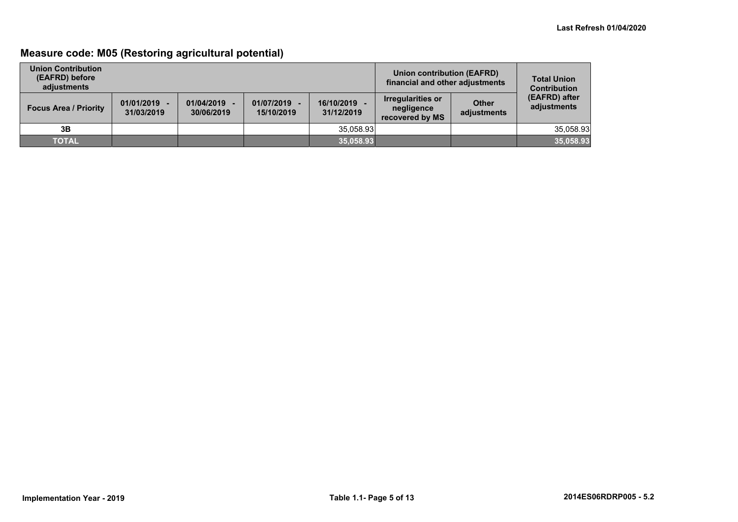# **Measure code: M05 (Restoring agricultural potential)**

| <b>Union Contribution</b><br>(EAFRD) before<br>adiustments |                              |                          |                            | Union contribution (EAFRD)<br>financial and other adjustments | <b>Total Union</b><br><b>Contribution</b>                 |                             |                              |
|------------------------------------------------------------|------------------------------|--------------------------|----------------------------|---------------------------------------------------------------|-----------------------------------------------------------|-----------------------------|------------------------------|
| <b>Focus Area / Priority</b>                               | $01/01/2019 -$<br>31/03/2019 | 01/04/2019<br>30/06/2019 | 01/07/2019 -<br>15/10/2019 | 16/10/2019<br>31/12/2019                                      | <b>Irregularities or</b><br>negligence<br>recovered by MS | <b>Other</b><br>adjustments | (EAFRD) after<br>adjustments |
| 3B                                                         |                              |                          |                            | 35,058.93                                                     |                                                           |                             | 35,058.93                    |
| <b>TOTAL</b>                                               |                              |                          |                            | 35,058.93                                                     |                                                           |                             | 35,058.93                    |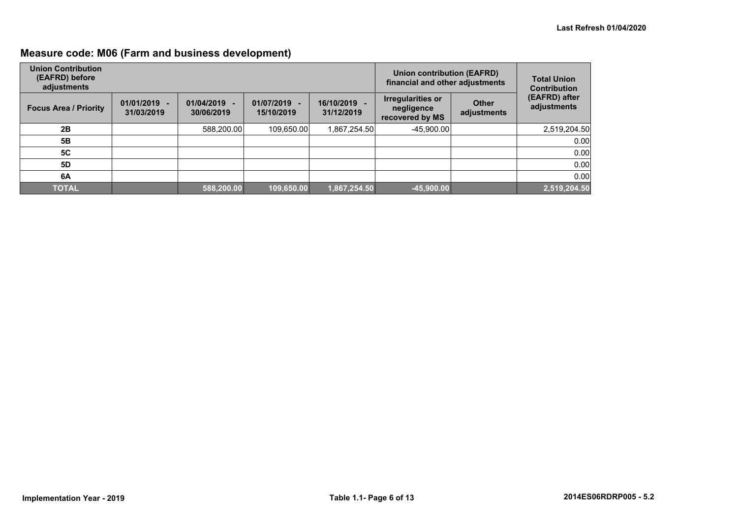# **Measure code: M06 (Farm and business development)**

| <b>Union Contribution</b><br>(EAFRD) before<br>adjustments |                              |                          |                          | Union contribution (EAFRD)<br>financial and other adjustments | <b>Total Union</b><br><b>Contribution</b>          |                             |                              |
|------------------------------------------------------------|------------------------------|--------------------------|--------------------------|---------------------------------------------------------------|----------------------------------------------------|-----------------------------|------------------------------|
| <b>Focus Area / Priority</b>                               | $01/01/2019 -$<br>31/03/2019 | 01/04/2019<br>30/06/2019 | 01/07/2019<br>15/10/2019 | 16/10/2019 -<br>31/12/2019                                    | Irregularities or<br>negligence<br>recovered by MS | <b>Other</b><br>adjustments | (EAFRD) after<br>adjustments |
| 2B                                                         |                              | 588,200.00               | 109,650.00               | 1,867,254.50                                                  | $-45,900.00$                                       |                             | 2,519,204.50                 |
| 5B                                                         |                              |                          |                          |                                                               |                                                    |                             | 0.00                         |
| <b>5C</b>                                                  |                              |                          |                          |                                                               |                                                    |                             | 0.00                         |
| 5D                                                         |                              |                          |                          |                                                               |                                                    |                             | 0.00                         |
| 6A                                                         |                              |                          |                          |                                                               |                                                    |                             | 0.00                         |
| <b>TOTAL</b>                                               |                              | 588,200.00               | 109,650.00               | 1,867,254.50                                                  | $-45,900.00$                                       |                             | 2,519,204.50                 |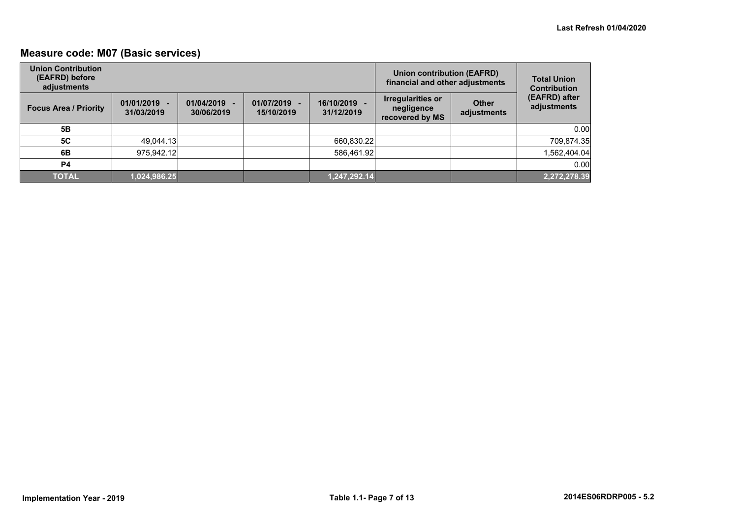# **Measure code: M07 (Basic services)**

| <b>Union Contribution</b><br>(EAFRD) before<br>adjustments |                              |                          |                            | <b>Union contribution (EAFRD)</b><br>financial and other adjustments | <b>Total Union</b><br><b>Contribution</b>          |                             |                              |
|------------------------------------------------------------|------------------------------|--------------------------|----------------------------|----------------------------------------------------------------------|----------------------------------------------------|-----------------------------|------------------------------|
| <b>Focus Area / Priority</b>                               | $01/01/2019 -$<br>31/03/2019 | 01/04/2019<br>30/06/2019 | 01/07/2019 -<br>15/10/2019 | 16/10/2019<br>31/12/2019                                             | Irregularities or<br>negligence<br>recovered by MS | <b>Other</b><br>adjustments | (EAFRD) after<br>adjustments |
| 5Β                                                         |                              |                          |                            |                                                                      |                                                    |                             | 0.00                         |
| <b>5C</b>                                                  | 49,044.13                    |                          |                            | 660,830.22                                                           |                                                    |                             | 709,874.35                   |
| 6B                                                         | 975,942.12                   |                          |                            | 586,461.92                                                           |                                                    |                             | 1,562,404.04                 |
| P4                                                         |                              |                          |                            |                                                                      |                                                    |                             | 0.00                         |
| <b>TOTAL</b>                                               | 1,024,986.25                 |                          |                            | 1,247,292.14                                                         |                                                    |                             | 2,272,278.39                 |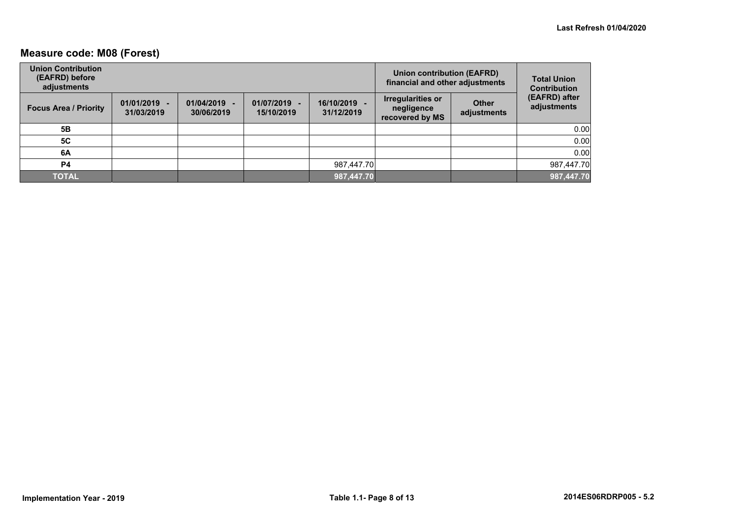# **Measure code: M08 (Forest)**

| <b>Union Contribution</b><br>(EAFRD) before<br>adjustments |                              |                          |                            | <b>Union contribution (EAFRD)</b><br>financial and other adjustments |                                                    | <b>Total Union</b><br><b>Contribution</b> |                              |
|------------------------------------------------------------|------------------------------|--------------------------|----------------------------|----------------------------------------------------------------------|----------------------------------------------------|-------------------------------------------|------------------------------|
| <b>Focus Area / Priority</b>                               | $01/01/2019 -$<br>31/03/2019 | 01/04/2019<br>30/06/2019 | 01/07/2019 -<br>15/10/2019 | 16/10/2019 -<br>31/12/2019                                           | Irregularities or<br>negligence<br>recovered by MS | <b>Other</b><br>adjustments               | (EAFRD) after<br>adjustments |
| 5Β                                                         |                              |                          |                            |                                                                      |                                                    |                                           | 0.00                         |
| <b>5C</b>                                                  |                              |                          |                            |                                                                      |                                                    |                                           | 0.00                         |
| 6A                                                         |                              |                          |                            |                                                                      |                                                    |                                           | 0.00                         |
| P4                                                         |                              |                          |                            | 987,447.70                                                           |                                                    |                                           | 987,447.70                   |
| <b>TOTAL</b>                                               |                              |                          |                            | 987,447.70                                                           |                                                    |                                           | 987,447.70                   |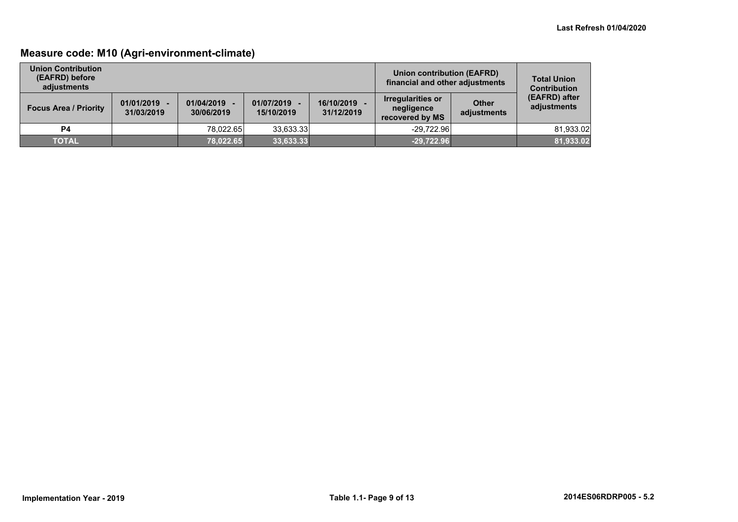# **Measure code: M10 (Agri-environment-climate)**

| <b>Union Contribution</b><br>(EAFRD) before<br>adjustments |                              |                          |                            |                          | <b>Union contribution (EAFRD)</b><br>financial and other adjustments |                             | <b>Total Union</b><br><b>Contribution</b> |
|------------------------------------------------------------|------------------------------|--------------------------|----------------------------|--------------------------|----------------------------------------------------------------------|-----------------------------|-------------------------------------------|
| <b>Focus Area / Priority</b>                               | $01/01/2019 -$<br>31/03/2019 | 01/04/2019<br>30/06/2019 | 01/07/2019 -<br>15/10/2019 | 16/10/2019<br>31/12/2019 | Irregularities or<br>negligence<br>recovered by MS                   | <b>Other</b><br>adjustments | (EAFRD) after<br>adjustments              |
| P4                                                         |                              | 78.022.65                | 33.633.33                  |                          | $-29.722.96$                                                         |                             | 81,933.02                                 |
| <b>TOTAL</b>                                               |                              | 78,022.65                | 33,633.33                  |                          | $-29,722.96$                                                         |                             | 81,933.02                                 |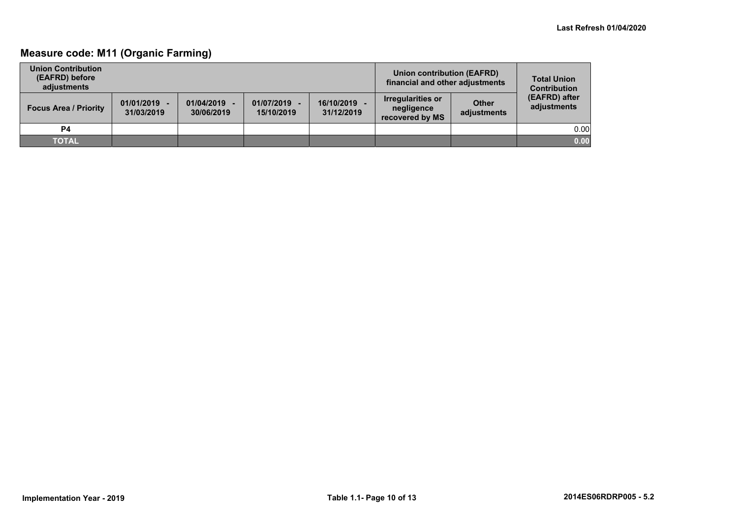# **Measure code: M11 (Organic Farming)**

| <b>Union Contribution</b><br>(EAFRD) before<br>adiustments |                              |                          |                          |                          | Union contribution (EAFRD)<br>financial and other adjustments |                             | <b>Total Union</b><br><b>Contribution</b> |
|------------------------------------------------------------|------------------------------|--------------------------|--------------------------|--------------------------|---------------------------------------------------------------|-----------------------------|-------------------------------------------|
| <b>Focus Area / Priority</b>                               | $01/01/2019 -$<br>31/03/2019 | 01/04/2019<br>30/06/2019 | 01/07/2019<br>15/10/2019 | 16/10/2019<br>31/12/2019 | <b>Irregularities or</b><br>negligence<br>recovered by MS     | <b>Other</b><br>adjustments | (EAFRD) after<br>adjustments              |
| <b>P4</b>                                                  |                              |                          |                          |                          |                                                               |                             | 0.00                                      |
| <b>TOTAL</b>                                               |                              |                          |                          |                          |                                                               |                             | 0.00                                      |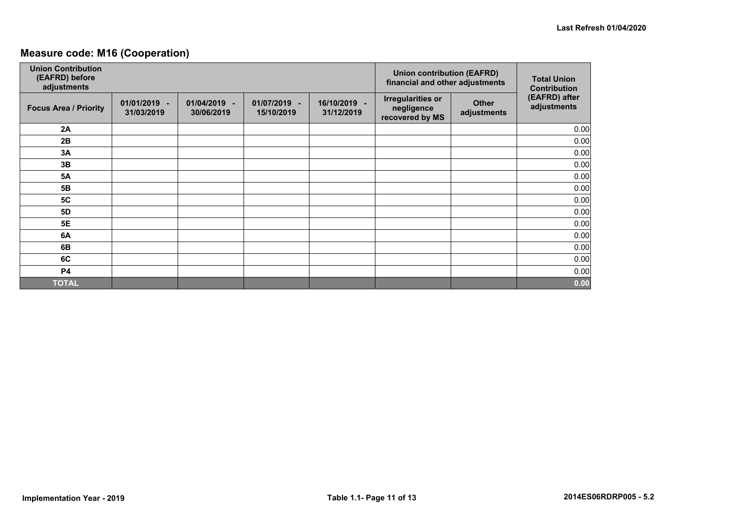# **Measure code: M16 (Cooperation)**

| <b>Union Contribution</b><br>(EAFRD) before<br>adjustments |                              |                                    |                            | <b>Union contribution (EAFRD)</b><br>financial and other adjustments | <b>Total Union</b><br><b>Contribution</b>                 |                             |                              |
|------------------------------------------------------------|------------------------------|------------------------------------|----------------------------|----------------------------------------------------------------------|-----------------------------------------------------------|-----------------------------|------------------------------|
| <b>Focus Area / Priority</b>                               | $01/01/2019 -$<br>31/03/2019 | 01/04/2019<br>$\sim$<br>30/06/2019 | 01/07/2019 -<br>15/10/2019 | 16/10/2019 -<br>31/12/2019                                           | <b>Irregularities or</b><br>negligence<br>recovered by MS | <b>Other</b><br>adjustments | (EAFRD) after<br>adjustments |
| 2A                                                         |                              |                                    |                            |                                                                      |                                                           |                             | 0.00                         |
| 2B                                                         |                              |                                    |                            |                                                                      |                                                           |                             | 0.00                         |
| 3A                                                         |                              |                                    |                            |                                                                      |                                                           |                             | 0.00                         |
| 3B                                                         |                              |                                    |                            |                                                                      |                                                           |                             | 0.00                         |
| <b>5A</b>                                                  |                              |                                    |                            |                                                                      |                                                           |                             | 0.00                         |
| 5B                                                         |                              |                                    |                            |                                                                      |                                                           |                             | 0.00                         |
| 5C                                                         |                              |                                    |                            |                                                                      |                                                           |                             | 0.00                         |
| <b>5D</b>                                                  |                              |                                    |                            |                                                                      |                                                           |                             | 0.00                         |
| <b>5E</b>                                                  |                              |                                    |                            |                                                                      |                                                           |                             | 0.00                         |
| 6A                                                         |                              |                                    |                            |                                                                      |                                                           |                             | 0.00                         |
| 6B                                                         |                              |                                    |                            |                                                                      |                                                           |                             | 0.00                         |
| 6C                                                         |                              |                                    |                            |                                                                      |                                                           |                             | 0.00                         |
| <b>P4</b>                                                  |                              |                                    |                            |                                                                      |                                                           |                             | 0.00                         |
| <b>TOTAL</b>                                               |                              |                                    |                            |                                                                      |                                                           |                             | 0.00                         |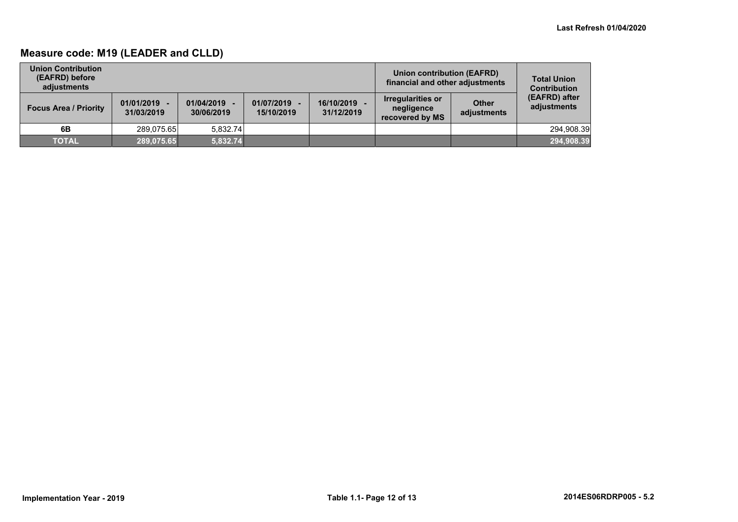# **Measure code: M19 (LEADER and CLLD)**

| <b>Union Contribution</b><br>(EAFRD) before<br>adiustments |                              |                          |                            | Union contribution (EAFRD)<br>financial and other adjustments | <b>Total Union</b><br><b>Contribution</b>          |                             |                              |
|------------------------------------------------------------|------------------------------|--------------------------|----------------------------|---------------------------------------------------------------|----------------------------------------------------|-----------------------------|------------------------------|
| <b>Focus Area / Priority</b>                               | $01/01/2019 -$<br>31/03/2019 | 01/04/2019<br>30/06/2019 | 01/07/2019 -<br>15/10/2019 | 16/10/2019<br>31/12/2019                                      | Irregularities or<br>negligence<br>recovered by MS | <b>Other</b><br>adjustments | (EAFRD) after<br>adjustments |
| 6B                                                         | 289.075.65                   | 5.832.74                 |                            |                                                               |                                                    |                             | 294,908.39                   |
| <b>TOTAL</b>                                               | 289,075.65                   | 5,832.74                 |                            |                                                               |                                                    |                             | 294,908.39                   |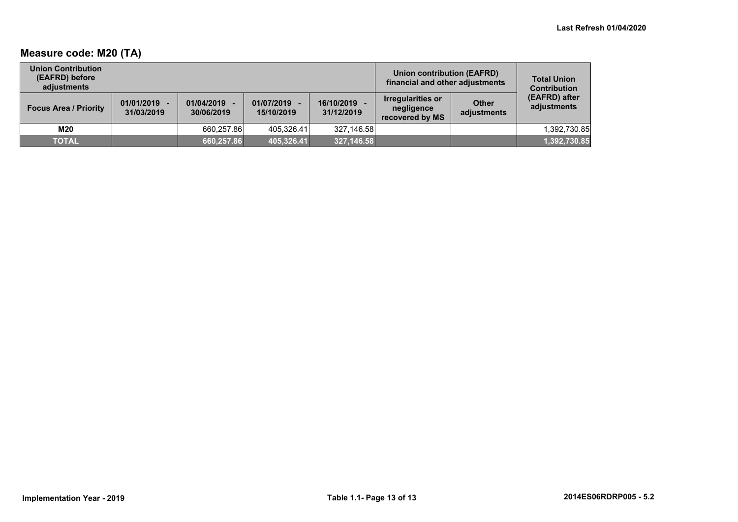# **Measure code: M20 (TA)**

| <b>Union Contribution</b><br>(EAFRD) before<br>adiustments |                              |                          |                              |                          | Union contribution (EAFRD)<br>financial and other adjustments |                             | <b>Total Union</b><br><b>Contribution</b> |
|------------------------------------------------------------|------------------------------|--------------------------|------------------------------|--------------------------|---------------------------------------------------------------|-----------------------------|-------------------------------------------|
| <b>Focus Area / Priority</b>                               | $01/01/2019 -$<br>31/03/2019 | 01/04/2019<br>30/06/2019 | $01/07/2019 -$<br>15/10/2019 | 16/10/2019<br>31/12/2019 | Irregularities or<br>negligence<br>recovered by MS            | <b>Other</b><br>adjustments | (EAFRD) after<br>adjustments              |
| M20                                                        |                              | 660.257.86               | 405.326.41                   | 327.146.58               |                                                               |                             | 1,392,730.85                              |
| <b>TOTAL</b>                                               |                              | 660,257.86               | 405,326.41                   | 327,146.58               |                                                               |                             | 1,392,730.85                              |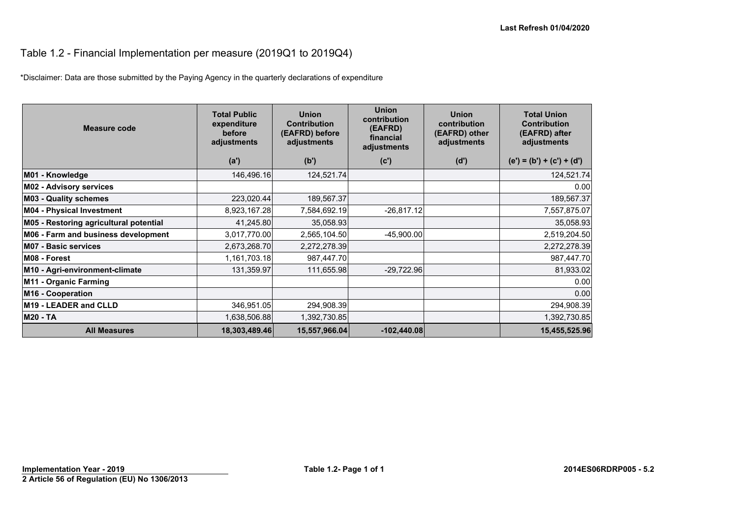# Table 1.2 - Financial Implementation per measure (2019Q1 to 2019Q4)

\*Disclaimer: Data are those submitted by the Paying Agency in the quarterly declarations of expenditure

| Measure code                           | <b>Total Public</b><br>expenditure<br>before<br>adjustments | <b>Union</b><br><b>Contribution</b><br>(EAFRD) before<br>adjustments | <b>Union</b><br>contribution<br>(EAFRD)<br>financial<br>adjustments | <b>Union</b><br>contribution<br>(EAFRD) other<br>adjustments | <b>Total Union</b><br><b>Contribution</b><br>(EAFRD) after<br>adjustments |
|----------------------------------------|-------------------------------------------------------------|----------------------------------------------------------------------|---------------------------------------------------------------------|--------------------------------------------------------------|---------------------------------------------------------------------------|
|                                        | (a')                                                        | (b')                                                                 | (c')                                                                | (d')                                                         | $(e') = (b') + (c') + (d')$                                               |
| M01 - Knowledge                        | 146,496.16                                                  | 124,521.74                                                           |                                                                     |                                                              | 124,521.74                                                                |
| <b>M02 - Advisory services</b>         |                                                             |                                                                      |                                                                     |                                                              | 0.00                                                                      |
| <b>M03 - Quality schemes</b>           | 223,020.44                                                  | 189,567.37                                                           |                                                                     |                                                              | 189,567.37                                                                |
| <b>M04 - Physical Investment</b>       | 8,923,167.28                                                | 7,584,692.19                                                         | $-26,817.12$                                                        |                                                              | 7,557,875.07                                                              |
| M05 - Restoring agricultural potential | 41,245.80                                                   | 35,058.93                                                            |                                                                     |                                                              | 35,058.93                                                                 |
| M06 - Farm and business development    | 3,017,770.00                                                | 2,565,104.50                                                         | $-45,900.00$                                                        |                                                              | 2,519,204.50                                                              |
| <b>M07 - Basic services</b>            | 2,673,268.70                                                | 2,272,278.39                                                         |                                                                     |                                                              | 2,272,278.39                                                              |
| M08 - Forest                           | 1,161,703.18                                                | 987,447.70                                                           |                                                                     |                                                              | 987,447.70                                                                |
| M10 - Agri-environment-climate         | 131,359.97                                                  | 111,655.98                                                           | $-29,722.96$                                                        |                                                              | 81,933.02                                                                 |
| M11 - Organic Farming                  |                                                             |                                                                      |                                                                     |                                                              | 0.00                                                                      |
| M16 - Cooperation                      |                                                             |                                                                      |                                                                     |                                                              | 0.00                                                                      |
| M19 - LEADER and CLLD                  | 346,951.05                                                  | 294,908.39                                                           |                                                                     |                                                              | 294,908.39                                                                |
| <b>M20 - TA</b>                        | 1,638,506.88                                                | 1,392,730.85                                                         |                                                                     |                                                              | 1,392,730.85                                                              |
| <b>All Measures</b>                    | 18,303,489.46                                               | 15,557,966.04                                                        | $-102,440.08$                                                       |                                                              | 15,455,525.96                                                             |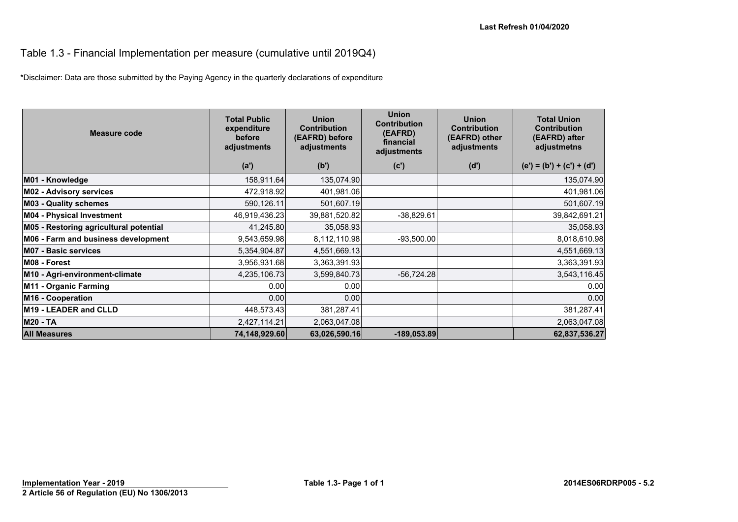### Table 1.3 - Financial Implementation per measure (cumulative until 2019Q4)

\*Disclaimer: Data are those submitted by the Paying Agency in the quarterly declarations of expenditure

| Measure code                           | <b>Total Public</b><br>expenditure<br>before<br>adjustments | <b>Union</b><br><b>Contribution</b><br>(EAFRD) before<br>adjustments | <b>Union</b><br><b>Contribution</b><br>(EAFRD)<br>financial<br>adjustments | <b>Union</b><br><b>Contribution</b><br>(EAFRD) other<br>adjustments | <b>Total Union</b><br><b>Contribution</b><br>(EAFRD) after<br>adjustmetns |
|----------------------------------------|-------------------------------------------------------------|----------------------------------------------------------------------|----------------------------------------------------------------------------|---------------------------------------------------------------------|---------------------------------------------------------------------------|
|                                        | (a')                                                        | (b')                                                                 | (c')                                                                       | (d')                                                                | $(e') = (b') + (c') + (d')$                                               |
| M01 - Knowledge                        | 158,911.64                                                  | 135,074.90                                                           |                                                                            |                                                                     | 135,074.90                                                                |
| <b>M02 - Advisory services</b>         | 472,918.92                                                  | 401,981.06                                                           |                                                                            |                                                                     | 401,981.06                                                                |
| <b>M03 - Quality schemes</b>           | 590,126.11                                                  | 501,607.19                                                           |                                                                            |                                                                     | 501,607.19                                                                |
| <b>M04 - Physical Investment</b>       | 46,919,436.23                                               | 39,881,520.82                                                        | $-38,829.61$                                                               |                                                                     | 39,842,691.21                                                             |
| M05 - Restoring agricultural potential | 41,245.80                                                   | 35,058.93                                                            |                                                                            |                                                                     | 35,058.93                                                                 |
| M06 - Farm and business development    | 9,543,659.98                                                | 8,112,110.98                                                         | $-93,500.00$                                                               |                                                                     | 8,018,610.98                                                              |
| <b>M07 - Basic services</b>            | 5,354,904.87                                                | 4,551,669.13                                                         |                                                                            |                                                                     | 4,551,669.13                                                              |
| M08 - Forest                           | 3,956,931.68                                                | 3,363,391.93                                                         |                                                                            |                                                                     | 3,363,391.93                                                              |
| M10 - Agri-environment-climate         | 4,235,106.73                                                | 3,599,840.73                                                         | $-56,724.28$                                                               |                                                                     | 3,543,116.45                                                              |
| M11 - Organic Farming                  | 0.00                                                        | 0.00                                                                 |                                                                            |                                                                     | 0.00                                                                      |
| M16 - Cooperation                      | 0.00                                                        | 0.00                                                                 |                                                                            |                                                                     | 0.00                                                                      |
| M19 - LEADER and CLLD                  | 448,573.43                                                  | 381,287.41                                                           |                                                                            |                                                                     | 381,287.41                                                                |
| <b>M20 - TA</b>                        | 2,427,114.21                                                | 2,063,047.08                                                         |                                                                            |                                                                     | 2,063,047.08                                                              |
| <b>All Measures</b>                    | 74,148,929.60                                               | 63,026,590.16                                                        | $-189,053.89$                                                              |                                                                     | 62,837,536.27                                                             |